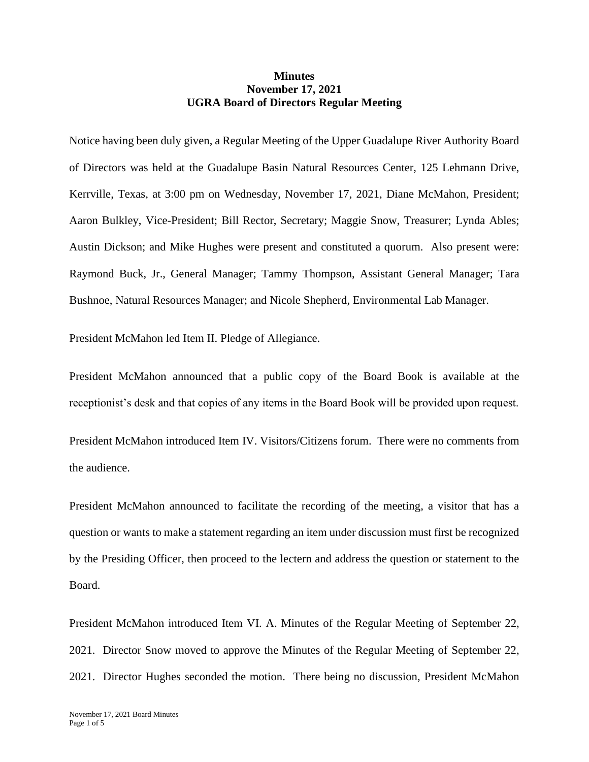## **Minutes November 17, 2021 UGRA Board of Directors Regular Meeting**

Notice having been duly given, a Regular Meeting of the Upper Guadalupe River Authority Board of Directors was held at the Guadalupe Basin Natural Resources Center, 125 Lehmann Drive, Kerrville, Texas, at 3:00 pm on Wednesday, November 17, 2021, Diane McMahon, President; Aaron Bulkley, Vice-President; Bill Rector, Secretary; Maggie Snow, Treasurer; Lynda Ables; Austin Dickson; and Mike Hughes were present and constituted a quorum. Also present were: Raymond Buck, Jr., General Manager; Tammy Thompson, Assistant General Manager; Tara Bushnoe, Natural Resources Manager; and Nicole Shepherd, Environmental Lab Manager.

President McMahon led Item II. Pledge of Allegiance.

President McMahon announced that a public copy of the Board Book is available at the receptionist's desk and that copies of any items in the Board Book will be provided upon request.

President McMahon introduced Item IV. Visitors/Citizens forum. There were no comments from the audience.

President McMahon announced to facilitate the recording of the meeting, a visitor that has a question or wants to make a statement regarding an item under discussion must first be recognized by the Presiding Officer, then proceed to the lectern and address the question or statement to the Board.

President McMahon introduced Item VI. A. Minutes of the Regular Meeting of September 22, 2021. Director Snow moved to approve the Minutes of the Regular Meeting of September 22, 2021. Director Hughes seconded the motion. There being no discussion, President McMahon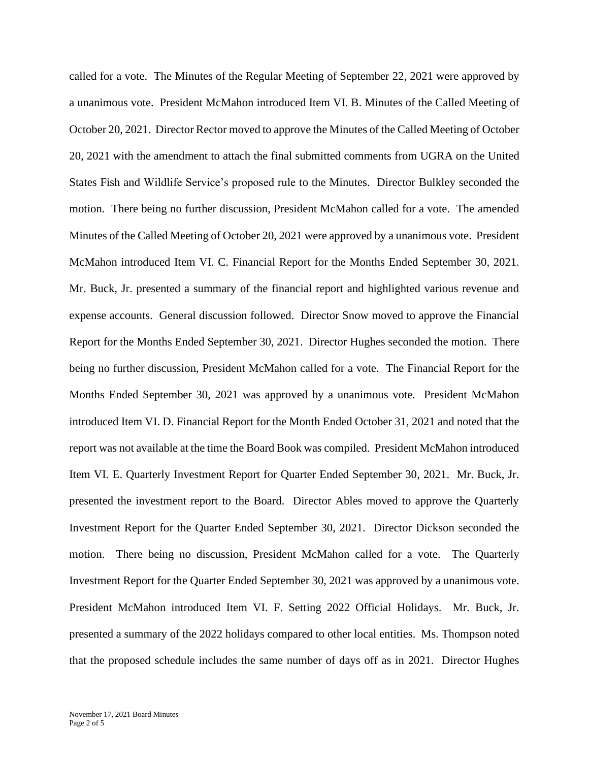called for a vote. The Minutes of the Regular Meeting of September 22, 2021 were approved by a unanimous vote. President McMahon introduced Item VI. B. Minutes of the Called Meeting of October 20, 2021. Director Rector moved to approve the Minutes of the Called Meeting of October 20, 2021 with the amendment to attach the final submitted comments from UGRA on the United States Fish and Wildlife Service's proposed rule to the Minutes. Director Bulkley seconded the motion. There being no further discussion, President McMahon called for a vote. The amended Minutes of the Called Meeting of October 20, 2021 were approved by a unanimous vote. President McMahon introduced Item VI. C. Financial Report for the Months Ended September 30, 2021. Mr. Buck, Jr. presented a summary of the financial report and highlighted various revenue and expense accounts. General discussion followed. Director Snow moved to approve the Financial Report for the Months Ended September 30, 2021. Director Hughes seconded the motion. There being no further discussion, President McMahon called for a vote. The Financial Report for the Months Ended September 30, 2021 was approved by a unanimous vote. President McMahon introduced Item VI. D. Financial Report for the Month Ended October 31, 2021 and noted that the report was not available at the time the Board Book was compiled. President McMahon introduced Item VI. E. Quarterly Investment Report for Quarter Ended September 30, 2021. Mr. Buck, Jr. presented the investment report to the Board. Director Ables moved to approve the Quarterly Investment Report for the Quarter Ended September 30, 2021. Director Dickson seconded the motion. There being no discussion, President McMahon called for a vote. The Quarterly Investment Report for the Quarter Ended September 30, 2021 was approved by a unanimous vote. President McMahon introduced Item VI. F. Setting 2022 Official Holidays. Mr. Buck, Jr. presented a summary of the 2022 holidays compared to other local entities. Ms. Thompson noted that the proposed schedule includes the same number of days off as in 2021. Director Hughes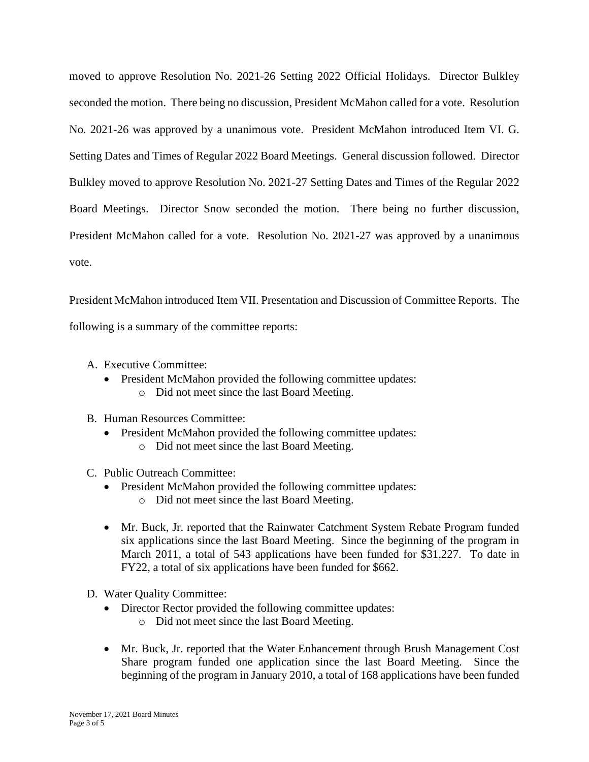moved to approve Resolution No. 2021-26 Setting 2022 Official Holidays. Director Bulkley seconded the motion. There being no discussion, President McMahon called for a vote. Resolution No. 2021-26 was approved by a unanimous vote. President McMahon introduced Item VI. G. Setting Dates and Times of Regular 2022 Board Meetings. General discussion followed. Director Bulkley moved to approve Resolution No. 2021-27 Setting Dates and Times of the Regular 2022 Board Meetings. Director Snow seconded the motion. There being no further discussion, President McMahon called for a vote. Resolution No. 2021-27 was approved by a unanimous vote.

President McMahon introduced Item VII. Presentation and Discussion of Committee Reports. The following is a summary of the committee reports:

- A. Executive Committee:
	- President McMahon provided the following committee updates: o Did not meet since the last Board Meeting.

## B. Human Resources Committee:

- President McMahon provided the following committee updates:
	- o Did not meet since the last Board Meeting.
- C. Public Outreach Committee:
	- President McMahon provided the following committee updates:
		- o Did not meet since the last Board Meeting.
	- Mr. Buck, Jr. reported that the Rainwater Catchment System Rebate Program funded six applications since the last Board Meeting. Since the beginning of the program in March 2011, a total of 543 applications have been funded for \$31,227. To date in FY22, a total of six applications have been funded for \$662.
- D. Water Quality Committee:
	- Director Rector provided the following committee updates:
		- o Did not meet since the last Board Meeting.
	- Mr. Buck, Jr. reported that the Water Enhancement through Brush Management Cost Share program funded one application since the last Board Meeting. Since the beginning of the program in January 2010, a total of 168 applications have been funded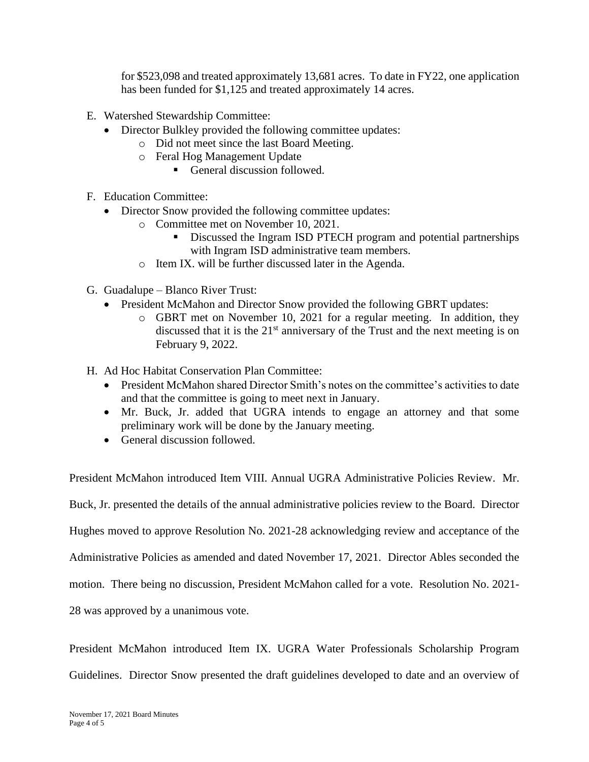for \$523,098 and treated approximately 13,681 acres. To date in FY22, one application has been funded for \$1,125 and treated approximately 14 acres.

- E. Watershed Stewardship Committee:
	- Director Bulkley provided the following committee updates:
		- o Did not meet since the last Board Meeting.
		- o Feral Hog Management Update
			- General discussion followed.
- F. Education Committee:
	- Director Snow provided the following committee updates:
		- o Committee met on November 10, 2021.
			- **EXECUTE:** Discussed the Ingram ISD PTECH program and potential partnerships with Ingram ISD administrative team members.
		- o Item IX. will be further discussed later in the Agenda.
- G. Guadalupe Blanco River Trust:
	- President McMahon and Director Snow provided the following GBRT updates:
		- o GBRT met on November 10, 2021 for a regular meeting. In addition, they discussed that it is the  $21<sup>st</sup>$  anniversary of the Trust and the next meeting is on February 9, 2022.
- H. Ad Hoc Habitat Conservation Plan Committee:
	- President McMahon shared Director Smith's notes on the committee's activities to date and that the committee is going to meet next in January.
	- Mr. Buck, Jr. added that UGRA intends to engage an attorney and that some preliminary work will be done by the January meeting.
	- General discussion followed.

President McMahon introduced Item VIII. Annual UGRA Administrative Policies Review. Mr.

Buck, Jr. presented the details of the annual administrative policies review to the Board. Director

Hughes moved to approve Resolution No. 2021-28 acknowledging review and acceptance of the

Administrative Policies as amended and dated November 17, 2021. Director Ables seconded the

motion. There being no discussion, President McMahon called for a vote. Resolution No. 2021-

28 was approved by a unanimous vote.

President McMahon introduced Item IX. UGRA Water Professionals Scholarship Program Guidelines. Director Snow presented the draft guidelines developed to date and an overview of